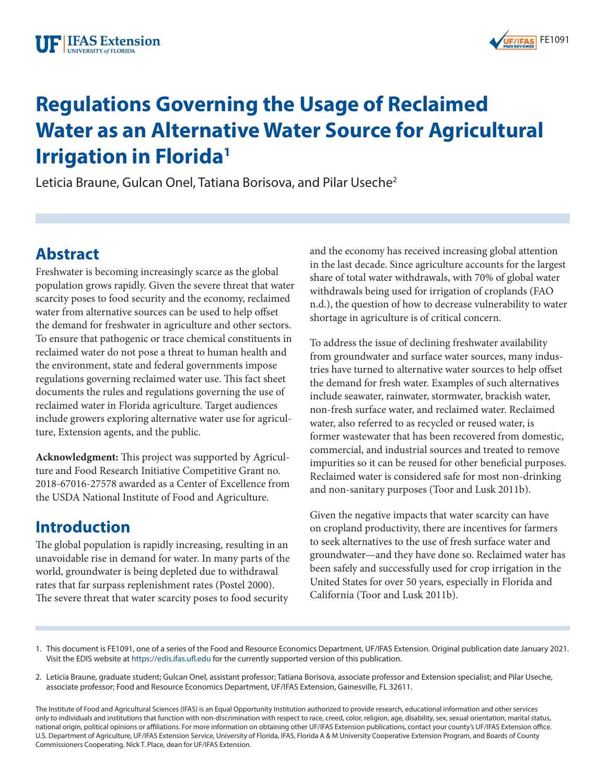

# **Regulations Governing the Usage of Reclaimed Water as an Alternative Water Source for Agricultural Irrigation in Florida1**

Leticia Braune, Gulcan Onel, Tatiana Borisova, and Pilar Useche<sup>2</sup>

### **Abstract**

Freshwater is becoming increasingly scarce as the global population grows rapidly. Given the severe threat that water scarcity poses to food security and the economy, reclaimed water from alternative sources can be used to help offset the demand for freshwater in agriculture and other sectors. To ensure that pathogenic or trace chemical constituents in reclaimed water do not pose a threat to human health and the environment, state and federal governments impose regulations governing reclaimed water use. This fact sheet documents the rules and regulations governing the use of reclaimed water in Florida agriculture. Target audiences include growers exploring alternative water use for agriculture, Extension agents, and the public.

**Acknowledgment:** This project was supported by Agriculture and Food Research Initiative Competitive Grant no. 2018-67016-27578 awarded as a Center of Excellence from the USDA National Institute of Food and Agriculture.

### **Introduction**

The global population is rapidly increasing, resulting in an unavoidable rise in demand for water. In many parts of the world, groundwater is being depleted due to withdrawal rates that far surpass replenishment rates (Postel 2000). The severe threat that water scarcity poses to food security

and the economy has received increasing global attention in the last decade. Since agriculture accounts for the largest share of total water withdrawals, with 70% of global water withdrawals being used for irrigation of croplands (FAO n.d.), the question of how to decrease vulnerability to water shortage in agriculture is of critical concern.

To address the issue of declining freshwater availability from groundwater and surface water sources, many industries have turned to alternative water sources to help offset the demand for fresh water. Examples of such alternatives include seawater, rainwater, stormwater, brackish water, non-fresh surface water, and reclaimed water. Reclaimed water, also referred to as recycled or reused water, is former wastewater that has been recovered from domestic, commercial, and industrial sources and treated to remove impurities so it can be reused for other beneficial purposes. Reclaimed water is considered safe for most non-drinking and non-sanitary purposes (Toor and Lusk 2011b).

Given the negative impacts that water scarcity can have on cropland productivity, there are incentives for farmers to seek alternatives to the use of fresh surface water and groundwater—and they have done so. Reclaimed water has been safely and successfully used for crop irrigation in the United States for over 50 years, especially in Florida and California (Toor and Lusk 2011b).

<sup>1.</sup> This document is FE1091, one of a series of the Food and Resource Economics Department, UF/IFAS Extension. Original publication date January 2021. Visit the EDIS website at <https://edis.ifas.ufl.edu> for the currently supported version of this publication.

<sup>2.</sup> Leticia Braune, graduate student; Gulcan Onel, assistant professor; Tatiana Borisova, associate professor and Extension specialist; and Pilar Useche, associate professor; Food and Resource Economics Department, UF/IFAS Extension, Gainesville, FL 32611.

The Institute of Food and Agricultural Sciences (IFAS) is an Equal Opportunity Institution authorized to provide research, educational information and other services only to individuals and institutions that function with non-discrimination with respect to race, creed, color, religion, age, disability, sex, sexual orientation, marital status, national origin, political opinions or affiliations. For more information on obtaining other UF/IFAS Extension publications, contact your county's UF/IFAS Extension office. U.S. Department of Agriculture, UF/IFAS Extension Service, University of Florida, IFAS, Florida A & M University Cooperative Extension Program, and Boards of County Commissioners Cooperating. Nick T. Place, dean for UF/IFAS Extension.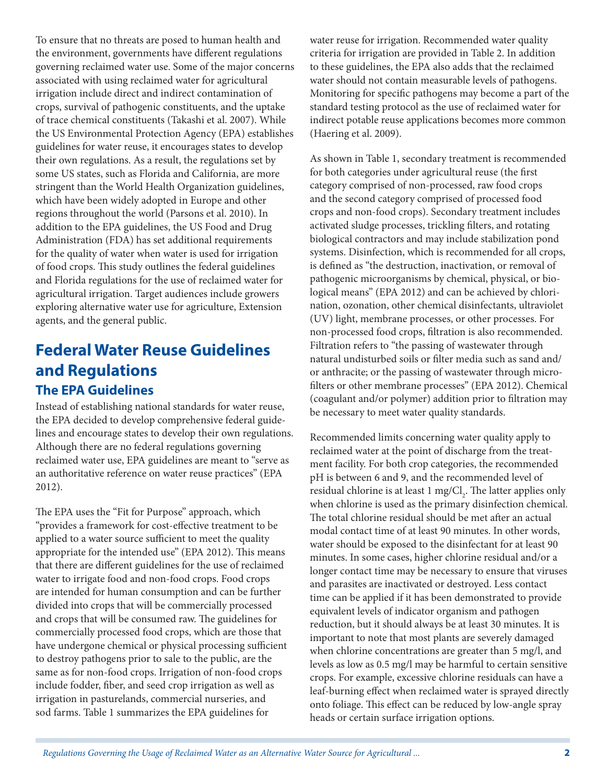To ensure that no threats are posed to human health and the environment, governments have different regulations governing reclaimed water use. Some of the major concerns associated with using reclaimed water for agricultural irrigation include direct and indirect contamination of crops, survival of pathogenic constituents, and the uptake of trace chemical constituents (Takashi et al. 2007). While the US Environmental Protection Agency (EPA) establishes guidelines for water reuse, it encourages states to develop their own regulations. As a result, the regulations set by some US states, such as Florida and California, are more stringent than the World Health Organization guidelines, which have been widely adopted in Europe and other regions throughout the world (Parsons et al. 2010). In addition to the EPA guidelines, the US Food and Drug Administration (FDA) has set additional requirements for the quality of water when water is used for irrigation of food crops. This study outlines the federal guidelines and Florida regulations for the use of reclaimed water for agricultural irrigation. Target audiences include growers exploring alternative water use for agriculture, Extension agents, and the general public.

### **Federal Water Reuse Guidelines and Regulations The EPA Guidelines**

Instead of establishing national standards for water reuse, the EPA decided to develop comprehensive federal guidelines and encourage states to develop their own regulations. Although there are no federal regulations governing reclaimed water use, EPA guidelines are meant to "serve as an authoritative reference on water reuse practices" (EPA 2012).

The EPA uses the "Fit for Purpose" approach, which "provides a framework for cost-effective treatment to be applied to a water source sufficient to meet the quality appropriate for the intended use" (EPA 2012). This means that there are different guidelines for the use of reclaimed water to irrigate food and non-food crops. Food crops are intended for human consumption and can be further divided into crops that will be commercially processed and crops that will be consumed raw. The guidelines for commercially processed food crops, which are those that have undergone chemical or physical processing sufficient to destroy pathogens prior to sale to the public, are the same as for non-food crops. Irrigation of non-food crops include fodder, fiber, and seed crop irrigation as well as irrigation in pasturelands, commercial nurseries, and sod farms. Table 1 summarizes the EPA guidelines for

water reuse for irrigation. Recommended water quality criteria for irrigation are provided in Table 2. In addition to these guidelines, the EPA also adds that the reclaimed water should not contain measurable levels of pathogens. Monitoring for specific pathogens may become a part of the standard testing protocol as the use of reclaimed water for indirect potable reuse applications becomes more common (Haering et al. 2009).

As shown in Table 1, secondary treatment is recommended for both categories under agricultural reuse (the first category comprised of non-processed, raw food crops and the second category comprised of processed food crops and non-food crops). Secondary treatment includes activated sludge processes, trickling filters, and rotating biological contractors and may include stabilization pond systems. Disinfection, which is recommended for all crops, is defined as "the destruction, inactivation, or removal of pathogenic microorganisms by chemical, physical, or biological means" (EPA 2012) and can be achieved by chlorination, ozonation, other chemical disinfectants, ultraviolet (UV) light, membrane processes, or other processes. For non-processed food crops, filtration is also recommended. Filtration refers to "the passing of wastewater through natural undisturbed soils or filter media such as sand and/ or anthracite; or the passing of wastewater through microfilters or other membrane processes" (EPA 2012). Chemical (coagulant and/or polymer) addition prior to filtration may be necessary to meet water quality standards.

Recommended limits concerning water quality apply to reclaimed water at the point of discharge from the treatment facility. For both crop categories, the recommended pH is between 6 and 9, and the recommended level of residual chlorine is at least 1 mg/Cl<sub>2</sub>. The latter applies only when chlorine is used as the primary disinfection chemical. The total chlorine residual should be met after an actual modal contact time of at least 90 minutes. In other words, water should be exposed to the disinfectant for at least 90 minutes. In some cases, higher chlorine residual and/or a longer contact time may be necessary to ensure that viruses and parasites are inactivated or destroyed. Less contact time can be applied if it has been demonstrated to provide equivalent levels of indicator organism and pathogen reduction, but it should always be at least 30 minutes. It is important to note that most plants are severely damaged when chlorine concentrations are greater than 5 mg/l, and levels as low as 0.5 mg/l may be harmful to certain sensitive crops. For example, excessive chlorine residuals can have a leaf-burning effect when reclaimed water is sprayed directly onto foliage. This effect can be reduced by low-angle spray heads or certain surface irrigation options.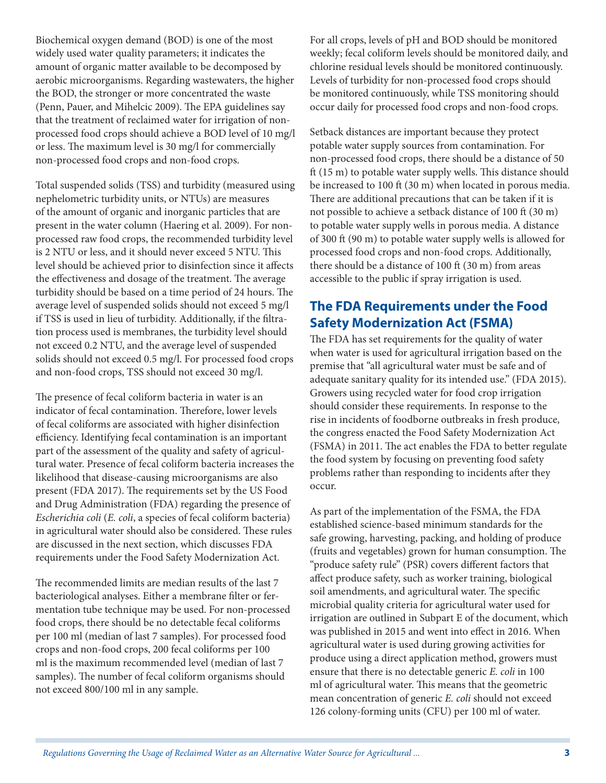Biochemical oxygen demand (BOD) is one of the most widely used water quality parameters; it indicates the amount of organic matter available to be decomposed by aerobic microorganisms. Regarding wastewaters, the higher the BOD, the stronger or more concentrated the waste (Penn, Pauer, and Mihelcic 2009). The EPA guidelines say that the treatment of reclaimed water for irrigation of nonprocessed food crops should achieve a BOD level of 10 mg/l or less. The maximum level is 30 mg/l for commercially non-processed food crops and non-food crops.

Total suspended solids (TSS) and turbidity (measured using nephelometric turbidity units, or NTUs) are measures of the amount of organic and inorganic particles that are present in the water column (Haering et al. 2009). For nonprocessed raw food crops, the recommended turbidity level is 2 NTU or less, and it should never exceed 5 NTU. This level should be achieved prior to disinfection since it affects the effectiveness and dosage of the treatment. The average turbidity should be based on a time period of 24 hours. The average level of suspended solids should not exceed 5 mg/l if TSS is used in lieu of turbidity. Additionally, if the filtration process used is membranes, the turbidity level should not exceed 0.2 NTU, and the average level of suspended solids should not exceed 0.5 mg/l. For processed food crops and non-food crops, TSS should not exceed 30 mg/l.

The presence of fecal coliform bacteria in water is an indicator of fecal contamination. Therefore, lower levels of fecal coliforms are associated with higher disinfection efficiency. Identifying fecal contamination is an important part of the assessment of the quality and safety of agricultural water. Presence of fecal coliform bacteria increases the likelihood that disease-causing microorganisms are also present (FDA 2017). The requirements set by the US Food and Drug Administration (FDA) regarding the presence of *Escherichia coli* (*E. coli*, a species of fecal coliform bacteria) in agricultural water should also be considered. These rules are discussed in the next section, which discusses FDA requirements under the Food Safety Modernization Act.

The recommended limits are median results of the last 7 bacteriological analyses. Either a membrane filter or fermentation tube technique may be used. For non-processed food crops, there should be no detectable fecal coliforms per 100 ml (median of last 7 samples). For processed food crops and non-food crops, 200 fecal coliforms per 100 ml is the maximum recommended level (median of last 7 samples). The number of fecal coliform organisms should not exceed 800/100 ml in any sample.

For all crops, levels of pH and BOD should be monitored weekly; fecal coliform levels should be monitored daily, and chlorine residual levels should be monitored continuously. Levels of turbidity for non-processed food crops should be monitored continuously, while TSS monitoring should occur daily for processed food crops and non-food crops.

Setback distances are important because they protect potable water supply sources from contamination. For non-processed food crops, there should be a distance of 50 ft (15 m) to potable water supply wells. This distance should be increased to 100 ft (30 m) when located in porous media. There are additional precautions that can be taken if it is not possible to achieve a setback distance of 100 ft (30 m) to potable water supply wells in porous media. A distance of 300 ft (90 m) to potable water supply wells is allowed for processed food crops and non-food crops. Additionally, there should be a distance of 100 ft (30 m) from areas accessible to the public if spray irrigation is used.

#### **The FDA Requirements under the Food Safety Modernization Act (FSMA)**

The FDA has set requirements for the quality of water when water is used for agricultural irrigation based on the premise that "all agricultural water must be safe and of adequate sanitary quality for its intended use." (FDA 2015). Growers using recycled water for food crop irrigation should consider these requirements. In response to the rise in incidents of foodborne outbreaks in fresh produce, the congress enacted the Food Safety Modernization Act (FSMA) in 2011. The act enables the FDA to better regulate the food system by focusing on preventing food safety problems rather than responding to incidents after they occur.

As part of the implementation of the FSMA, the FDA established science-based minimum standards for the safe growing, harvesting, packing, and holding of produce (fruits and vegetables) grown for human consumption. The "produce safety rule" (PSR) covers different factors that affect produce safety, such as worker training, biological soil amendments, and agricultural water. The specific microbial quality criteria for agricultural water used for irrigation are outlined in Subpart E of the document, which was published in 2015 and went into effect in 2016. When agricultural water is used during growing activities for produce using a direct application method, growers must ensure that there is no detectable generic *E. coli* in 100 ml of agricultural water. This means that the geometric mean concentration of generic *E. coli* should not exceed 126 colony-forming units (CFU) per 100 ml of water.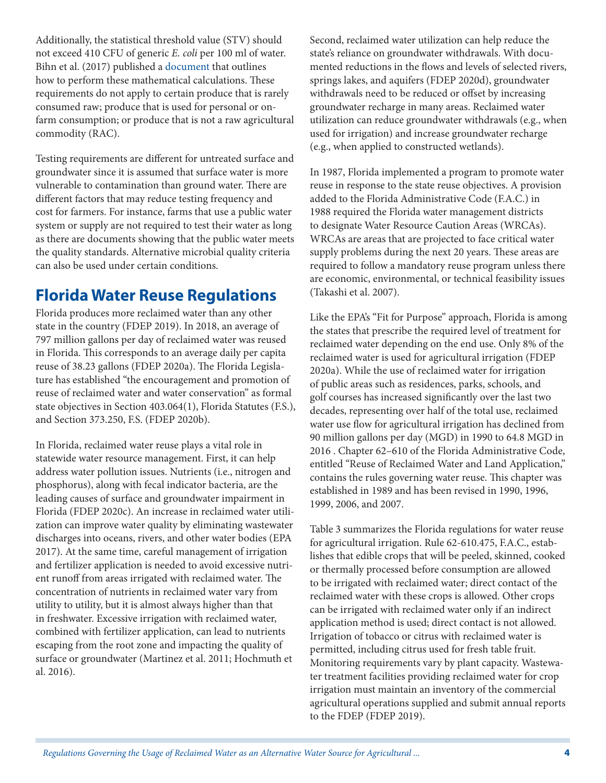Additionally, the statistical threshold value (STV) should not exceed 410 CFU of generic *E. coli* per 100 ml of water. Bihn et al. (2017) published a [document](https://producesafetyalliance.cornell.edu/sites/producesafetyalliance.cornell.edu/files/shared/documents/2017%20GM%20STV%20Worksheet%20v1.0.pdf) that outlines how to perform these mathematical calculations. These requirements do not apply to certain produce that is rarely consumed raw; produce that is used for personal or onfarm consumption; or produce that is not a raw agricultural commodity (RAC).

Testing requirements are different for untreated surface and groundwater since it is assumed that surface water is more vulnerable to contamination than ground water. There are different factors that may reduce testing frequency and cost for farmers. For instance, farms that use a public water system or supply are not required to test their water as long as there are documents showing that the public water meets the quality standards. Alternative microbial quality criteria can also be used under certain conditions.

## **Florida Water Reuse Regulations**

Florida produces more reclaimed water than any other state in the country (FDEP 2019). In 2018, an average of 797 million gallons per day of reclaimed water was reused in Florida. This corresponds to an average daily per capita reuse of 38.23 gallons (FDEP 2020a). The Florida Legislature has established "the encouragement and promotion of reuse of reclaimed water and water conservation" as formal state objectives in Section 403.064(1), Florida Statutes (F.S.), and Section 373.250, F.S. (FDEP 2020b).

In Florida, reclaimed water reuse plays a vital role in statewide water resource management. First, it can help address water pollution issues. Nutrients (i.e., nitrogen and phosphorus), along with fecal indicator bacteria, are the leading causes of surface and groundwater impairment in Florida (FDEP 2020c). An increase in reclaimed water utilization can improve water quality by eliminating wastewater discharges into oceans, rivers, and other water bodies (EPA 2017). At the same time, careful management of irrigation and fertilizer application is needed to avoid excessive nutrient runoff from areas irrigated with reclaimed water. The concentration of nutrients in reclaimed water vary from utility to utility, but it is almost always higher than that in freshwater. Excessive irrigation with reclaimed water, combined with fertilizer application, can lead to nutrients escaping from the root zone and impacting the quality of surface or groundwater (Martinez et al. 2011; Hochmuth et al. 2016).

Second, reclaimed water utilization can help reduce the state's reliance on groundwater withdrawals. With documented reductions in the flows and levels of selected rivers, springs lakes, and aquifers (FDEP 2020d), groundwater withdrawals need to be reduced or offset by increasing groundwater recharge in many areas. Reclaimed water utilization can reduce groundwater withdrawals (e.g., when used for irrigation) and increase groundwater recharge (e.g., when applied to constructed wetlands).

In 1987, Florida implemented a program to promote water reuse in response to the state reuse objectives. A provision added to the Florida Administrative Code (F.A.C.) in 1988 required the Florida water management districts to designate Water Resource Caution Areas (WRCAs). WRCAs are areas that are projected to face critical water supply problems during the next 20 years. These areas are required to follow a mandatory reuse program unless there are economic, environmental, or technical feasibility issues (Takashi et al. 2007).

Like the EPA's "Fit for Purpose" approach, Florida is among the states that prescribe the required level of treatment for reclaimed water depending on the end use. Only 8% of the reclaimed water is used for agricultural irrigation (FDEP 2020a). While the use of reclaimed water for irrigation of public areas such as residences, parks, schools, and golf courses has increased significantly over the last two decades, representing over half of the total use, reclaimed water use flow for agricultural irrigation has declined from 90 million gallons per day (MGD) in 1990 to 64.8 MGD in 2016 . Chapter 62–610 of the Florida Administrative Code, entitled "Reuse of Reclaimed Water and Land Application," contains the rules governing water reuse. This chapter was established in 1989 and has been revised in 1990, 1996, 1999, 2006, and 2007.

Table 3 summarizes the Florida regulations for water reuse for agricultural irrigation. Rule 62-610.475, F.A.C., establishes that edible crops that will be peeled, skinned, cooked or thermally processed before consumption are allowed to be irrigated with reclaimed water; direct contact of the reclaimed water with these crops is allowed. Other crops can be irrigated with reclaimed water only if an indirect application method is used; direct contact is not allowed. Irrigation of tobacco or citrus with reclaimed water is permitted, including citrus used for fresh table fruit. Monitoring requirements vary by plant capacity. Wastewater treatment facilities providing reclaimed water for crop irrigation must maintain an inventory of the commercial agricultural operations supplied and submit annual reports to the FDEP (FDEP 2019).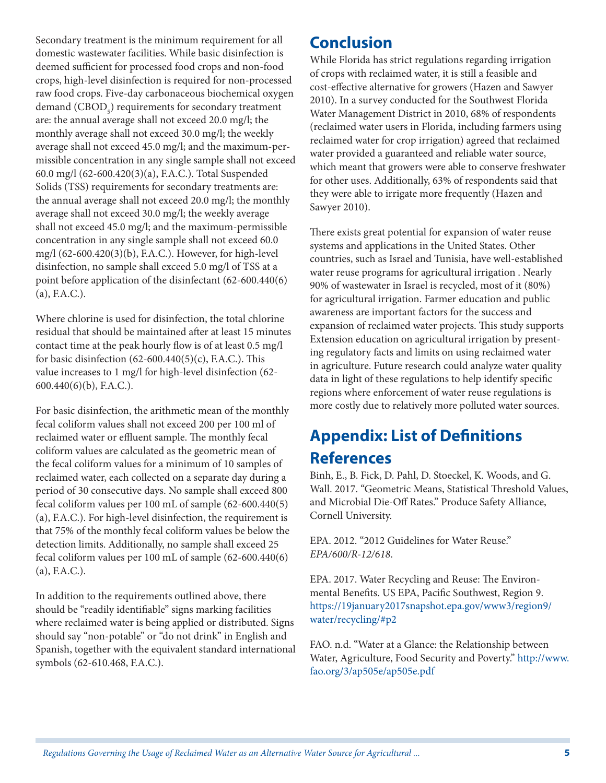Secondary treatment is the minimum requirement for all domestic wastewater facilities. While basic disinfection is deemed sufficient for processed food crops and non-food crops, high-level disinfection is required for non-processed raw food crops. Five-day carbonaceous biochemical oxygen demand  $(\mathrm{CBOD}_{5})$  requirements for secondary treatment are: the annual average shall not exceed 20.0 mg/l; the monthly average shall not exceed 30.0 mg/l; the weekly average shall not exceed 45.0 mg/l; and the maximum-permissible concentration in any single sample shall not exceed 60.0 mg/l (62-600.420(3)(a), F.A.C.). Total Suspended Solids (TSS) requirements for secondary treatments are: the annual average shall not exceed 20.0 mg/l; the monthly average shall not exceed 30.0 mg/l; the weekly average shall not exceed 45.0 mg/l; and the maximum-permissible concentration in any single sample shall not exceed 60.0 mg/l (62-600.420(3)(b), F.A.C.). However, for high-level disinfection, no sample shall exceed 5.0 mg/l of TSS at a point before application of the disinfectant (62-600.440(6) (a), F.A.C.).

Where chlorine is used for disinfection, the total chlorine residual that should be maintained after at least 15 minutes contact time at the peak hourly flow is of at least 0.5 mg/l for basic disinfection  $(62-600.440(5)(c),$  F.A.C.). This value increases to 1 mg/l for high-level disinfection (62- 600.440(6)(b), F.A.C.).

For basic disinfection, the arithmetic mean of the monthly fecal coliform values shall not exceed 200 per 100 ml of reclaimed water or effluent sample. The monthly fecal coliform values are calculated as the geometric mean of the fecal coliform values for a minimum of 10 samples of reclaimed water, each collected on a separate day during a period of 30 consecutive days. No sample shall exceed 800 fecal coliform values per 100 mL of sample (62-600.440(5) (a), F.A.C.). For high-level disinfection, the requirement is that 75% of the monthly fecal coliform values be below the detection limits. Additionally, no sample shall exceed 25 fecal coliform values per 100 mL of sample (62-600.440(6) (a), F.A.C.).

In addition to the requirements outlined above, there should be "readily identifiable" signs marking facilities where reclaimed water is being applied or distributed. Signs should say "non-potable" or "do not drink" in English and Spanish, together with the equivalent standard international symbols (62-610.468, F.A.C.).

### **Conclusion**

While Florida has strict regulations regarding irrigation of crops with reclaimed water, it is still a feasible and cost-effective alternative for growers (Hazen and Sawyer 2010). In a survey conducted for the Southwest Florida Water Management District in 2010, 68% of respondents (reclaimed water users in Florida, including farmers using reclaimed water for crop irrigation) agreed that reclaimed water provided a guaranteed and reliable water source, which meant that growers were able to conserve freshwater for other uses. Additionally, 63% of respondents said that they were able to irrigate more frequently (Hazen and Sawyer 2010).

There exists great potential for expansion of water reuse systems and applications in the United States. Other countries, such as Israel and Tunisia, have well-established water reuse programs for agricultural irrigation . Nearly 90% of wastewater in Israel is recycled, most of it (80%) for agricultural irrigation. Farmer education and public awareness are important factors for the success and expansion of reclaimed water projects. This study supports Extension education on agricultural irrigation by presenting regulatory facts and limits on using reclaimed water in agriculture. Future research could analyze water quality data in light of these regulations to help identify specific regions where enforcement of water reuse regulations is more costly due to relatively more polluted water sources.

# **Appendix: List of Definitions References**

Binh, E., B. Fick, D. Pahl, D. Stoeckel, K. Woods, and G. Wall. 2017. "Geometric Means, Statistical Threshold Values, and Microbial Die-Off Rates." Produce Safety Alliance, Cornell University.

EPA. 2012. "2012 Guidelines for Water Reuse." *EPA/600/R-12/618*.

EPA. 2017. Water Recycling and Reuse: The Environmental Benefits. US EPA, Pacific Southwest, Region 9. [https://19january2017snapshot.epa.gov/www3/region9/](https://19january2017snapshot.epa.gov/www3/region9/water/recycling/#p2) [water/recycling/#p2](https://19january2017snapshot.epa.gov/www3/region9/water/recycling/#p2)

FAO. n.d. "Water at a Glance: the Relationship between Water, Agriculture, Food Security and Poverty." [http://www.](http://www.fao.org/3/ap505e/ap505e.pdf) [fao.org/3/ap505e/ap505e.pdf](http://www.fao.org/3/ap505e/ap505e.pdf)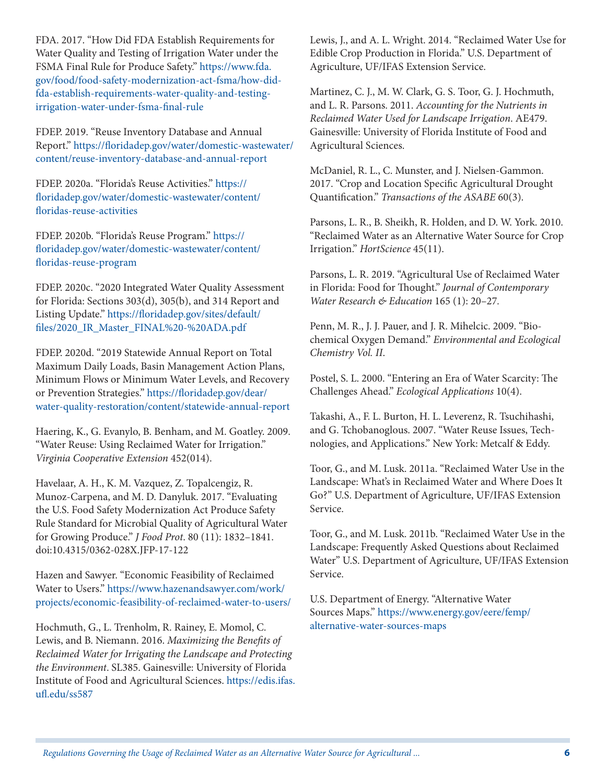FDA. 2017. "How Did FDA Establish Requirements for Water Quality and Testing of Irrigation Water under the FSMA Final Rule for Produce Safety." [https://www.fda.](https://www.fda.gov/food/food-safety-modernization-act-fsma/how-did-fda-establish-requirements-water-quality-and-testing-irrigation-water-under-fsma-final-rule) [gov/food/food-safety-modernization-act-fsma/how-did](https://www.fda.gov/food/food-safety-modernization-act-fsma/how-did-fda-establish-requirements-water-quality-and-testing-irrigation-water-under-fsma-final-rule)[fda-establish-requirements-water-quality-and-testing](https://www.fda.gov/food/food-safety-modernization-act-fsma/how-did-fda-establish-requirements-water-quality-and-testing-irrigation-water-under-fsma-final-rule)[irrigation-water-under-fsma-final-rule](https://www.fda.gov/food/food-safety-modernization-act-fsma/how-did-fda-establish-requirements-water-quality-and-testing-irrigation-water-under-fsma-final-rule)

FDEP. 2019. "Reuse Inventory Database and Annual Report." [https://floridadep.gov/water/domestic-wastewater/](https://floridadep.gov/water/domestic-wastewater/content/reuse-inventory-database-and-annual-report) [content/reuse-inventory-database-and-annual-report](https://floridadep.gov/water/domestic-wastewater/content/reuse-inventory-database-and-annual-report)

FDEP. 2020a. "Florida's Reuse Activities." [https://](https://floridadep.gov/water/domestic-wastewater/content/floridas-reuse-activities) [floridadep.gov/water/domestic-wastewater/content/](https://floridadep.gov/water/domestic-wastewater/content/floridas-reuse-activities) [floridas-reuse-activities](https://floridadep.gov/water/domestic-wastewater/content/floridas-reuse-activities)

FDEP. 2020b. "Florida's Reuse Program." [https://](https://floridadep.gov/water/domestic-wastewater/content/floridas-reuse-program) [floridadep.gov/water/domestic-wastewater/content/](https://floridadep.gov/water/domestic-wastewater/content/floridas-reuse-program) [floridas-reuse-program](https://floridadep.gov/water/domestic-wastewater/content/floridas-reuse-program)

FDEP. 2020c. "2020 Integrated Water Quality Assessment for Florida: Sections 303(d), 305(b), and 314 Report and Listing Update." [https://floridadep.gov/sites/default/](https://floridadep.gov/sites/default/files/2020_IR_Master_FINAL%20-%20ADA.pdf) [files/2020\\_IR\\_Master\\_FINAL%20-%20ADA.pdf](https://floridadep.gov/sites/default/files/2020_IR_Master_FINAL%20-%20ADA.pdf)

FDEP. 2020d. "2019 Statewide Annual Report on Total Maximum Daily Loads, Basin Management Action Plans, Minimum Flows or Minimum Water Levels, and Recovery or Prevention Strategies." [https://floridadep.gov/dear/](https://floridadep.gov/dear/water-quality-restoration/content/statewide-annual-report) [water-quality-restoration/content/statewide-annual-report](https://floridadep.gov/dear/water-quality-restoration/content/statewide-annual-report)

Haering, K., G. Evanylo, B. Benham, and M. Goatley. 2009. "Water Reuse: Using Reclaimed Water for Irrigation." *Virginia Cooperative Extension* 452(014).

Havelaar, A. H., K. M. Vazquez, Z. Topalcengiz, R. Munoz-Carpena, and M. D. Danyluk. 2017. "Evaluating the U.S. Food Safety Modernization Act Produce Safety Rule Standard for Microbial Quality of Agricultural Water for Growing Produce." *J Food Prot*. 80 (11): 1832–1841. doi:10.4315/0362-028X.JFP-17-122

Hazen and Sawyer. "Economic Feasibility of Reclaimed Water to Users." [https://www.hazenandsawyer.com/work/](https://www.hazenandsawyer.com/work/projects/economic-feasibility-of-reclaimed-water-to-users/) [projects/economic-feasibility-of-reclaimed-water-to-users/](https://www.hazenandsawyer.com/work/projects/economic-feasibility-of-reclaimed-water-to-users/)

Hochmuth, G., L. Trenholm, R. Rainey, E. Momol, C. Lewis, and B. Niemann. 2016. *Maximizing the Benefits of Reclaimed Water for Irrigating the Landscape and Protecting the Environment*. SL385. Gainesville: University of Florida Institute of Food and Agricultural Sciences. [https://edis.ifas.](https://edis.ifas.ufl.edu/ss587) [ufl.edu/ss587](https://edis.ifas.ufl.edu/ss587)

Lewis, J., and A. L. Wright. 2014. "Reclaimed Water Use for Edible Crop Production in Florida." U.S. Department of Agriculture, UF/IFAS Extension Service.

Martinez, C. J., M. W. Clark, G. S. Toor, G. J. Hochmuth, and L. R. Parsons. 2011. *Accounting for the Nutrients in Reclaimed Water Used for Landscape Irrigation*. AE479. Gainesville: University of Florida Institute of Food and Agricultural Sciences.

McDaniel, R. L., C. Munster, and J. Nielsen-Gammon. 2017. "Crop and Location Specific Agricultural Drought Quantification." *Transactions of the ASABE* 60(3).

Parsons, L. R., B. Sheikh, R. Holden, and D. W. York. 2010. "Reclaimed Water as an Alternative Water Source for Crop Irrigation." *HortScience* 45(11).

Parsons, L. R. 2019. "Agricultural Use of Reclaimed Water in Florida: Food for Thought." *Journal of Contemporary Water Research & Education* 165 (1): 20–27*.*

Penn, M. R., J. J. Pauer, and J. R. Mihelcic. 2009. "Biochemical Oxygen Demand." *Environmental and Ecological Chemistry Vol. II*.

Postel, S. L. 2000. "Entering an Era of Water Scarcity: The Challenges Ahead." *Ecological Applications* 10(4).

Takashi, A., F. L. Burton, H. L. Leverenz, R. Tsuchihashi, and G. Tchobanoglous. 2007. "Water Reuse Issues, Technologies, and Applications." New York: Metcalf & Eddy.

Toor, G., and M. Lusk. 2011a. "Reclaimed Water Use in the Landscape: What's in Reclaimed Water and Where Does It Go?" U.S. Department of Agriculture, UF/IFAS Extension Service.

Toor, G., and M. Lusk. 2011b. "Reclaimed Water Use in the Landscape: Frequently Asked Questions about Reclaimed Water" U.S. Department of Agriculture, UF/IFAS Extension Service.

U.S. Department of Energy. "Alternative Water Sources Maps." [https://www.energy.gov/eere/femp/](https://www.energy.gov/eere/femp/alternative-water-sources-maps) [alternative-water-sources-maps](https://www.energy.gov/eere/femp/alternative-water-sources-maps)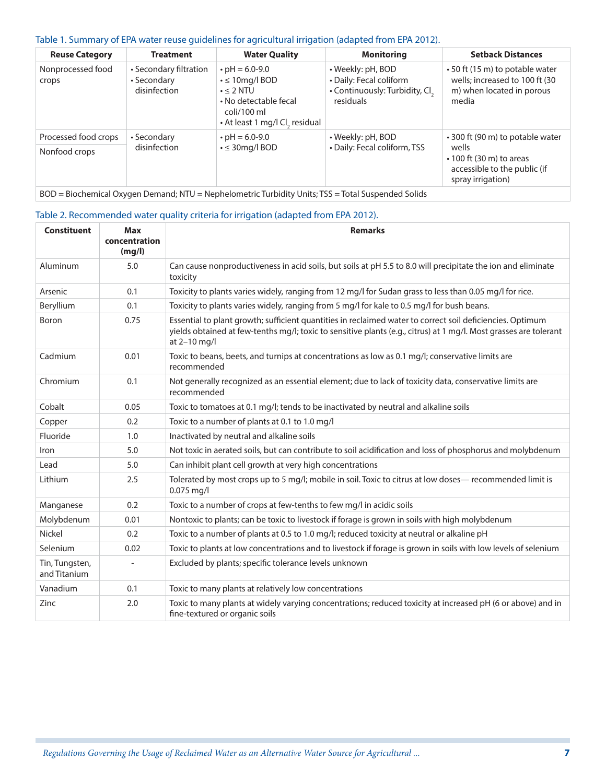#### Table 1. Summary of EPA water reuse guidelines for agricultural irrigation (adapted from EPA 2012).

| <b>Reuse Category</b>                 | <b>Treatment</b>                                      | <b>Water Quality</b>                                                                                                                                | <b>Monitoring</b>                                                                           | <b>Setback Distances</b>                                                                                                         |
|---------------------------------------|-------------------------------------------------------|-----------------------------------------------------------------------------------------------------------------------------------------------------|---------------------------------------------------------------------------------------------|----------------------------------------------------------------------------------------------------------------------------------|
| Nonprocessed food<br>crops            | • Secondary filtration<br>• Secondary<br>disinfection | $\cdot$ pH = 6.0-9.0<br>$\cdot$ $\leq$ 10mg/l BOD<br>$\cdot$ $\leq$ 2 NTU<br>• No detectable fecal<br>coli/100 ml<br>• At least 1 mg/l Cl, residual | • Weekly: pH, BOD<br>• Daily: Fecal coliform<br>• Continuously: Turbidity, Cl.<br>residuals | • 50 ft (15 m) to potable water<br>wells; increased to 100 ft (30<br>m) when located in porous<br>media                          |
| Processed food crops<br>Nonfood crops | • Secondary<br>disinfection                           | $\cdot$ pH = 6.0-9.0<br>$\cdot$ $\leq$ 30mg/l BOD                                                                                                   | • Weekly: pH, BOD<br>· Daily: Fecal coliform, TSS                                           | • 300 ft (90 m) to potable water<br>wells<br>$\cdot$ 100 ft (30 m) to areas<br>accessible to the public (if<br>spray irrigation) |

BOD = Biochemical Oxygen Demand; NTU = Nephelometric Turbidity Units; TSS = Total Suspended Solids

#### Table 2. Recommended water quality criteria for irrigation (adapted from EPA 2012).

| <b>Constituent</b>             | <b>Max</b><br>concentration | <b>Remarks</b>                                                                                                                                                                                                                                 |
|--------------------------------|-----------------------------|------------------------------------------------------------------------------------------------------------------------------------------------------------------------------------------------------------------------------------------------|
|                                | (mg/l)                      |                                                                                                                                                                                                                                                |
| Aluminum                       | 5.0                         | Can cause nonproductiveness in acid soils, but soils at pH 5.5 to 8.0 will precipitate the ion and eliminate<br>toxicity                                                                                                                       |
| Arsenic                        | 0.1                         | Toxicity to plants varies widely, ranging from 12 mg/l for Sudan grass to less than 0.05 mg/l for rice.                                                                                                                                        |
| Beryllium                      | 0.1                         | Toxicity to plants varies widely, ranging from 5 mg/l for kale to 0.5 mg/l for bush beans.                                                                                                                                                     |
| Boron                          | 0.75                        | Essential to plant growth; sufficient quantities in reclaimed water to correct soil deficiencies. Optimum<br>yields obtained at few-tenths mg/l; toxic to sensitive plants (e.g., citrus) at 1 mg/l. Most grasses are tolerant<br>at 2-10 mg/l |
| Cadmium                        | 0.01                        | Toxic to beans, beets, and turnips at concentrations as low as 0.1 mg/l; conservative limits are<br>recommended                                                                                                                                |
| Chromium                       | 0.1                         | Not generally recognized as an essential element; due to lack of toxicity data, conservative limits are<br>recommended                                                                                                                         |
| Cobalt                         | 0.05                        | Toxic to tomatoes at 0.1 mg/l; tends to be inactivated by neutral and alkaline soils                                                                                                                                                           |
| Copper                         | 0.2                         | Toxic to a number of plants at 0.1 to 1.0 mg/l                                                                                                                                                                                                 |
| Fluoride                       | 1.0                         | Inactivated by neutral and alkaline soils                                                                                                                                                                                                      |
| Iron                           | 5.0                         | Not toxic in aerated soils, but can contribute to soil acidification and loss of phosphorus and molybdenum                                                                                                                                     |
| Lead                           | 5.0                         | Can inhibit plant cell growth at very high concentrations                                                                                                                                                                                      |
| Lithium                        | 2.5                         | Tolerated by most crops up to 5 mg/l; mobile in soil. Toxic to citrus at low doses— recommended limit is<br>0.075 mg/l                                                                                                                         |
| Manganese                      | 0.2                         | Toxic to a number of crops at few-tenths to few mg/l in acidic soils                                                                                                                                                                           |
| Molybdenum                     | 0.01                        | Nontoxic to plants; can be toxic to livestock if forage is grown in soils with high molybdenum                                                                                                                                                 |
| Nickel                         | 0.2                         | Toxic to a number of plants at 0.5 to 1.0 mg/l; reduced toxicity at neutral or alkaline pH                                                                                                                                                     |
| Selenium                       | 0.02                        | Toxic to plants at low concentrations and to livestock if forage is grown in soils with low levels of selenium                                                                                                                                 |
| Tin, Tungsten,<br>and Titanium |                             | Excluded by plants; specific tolerance levels unknown                                                                                                                                                                                          |
| Vanadium                       | 0.1                         | Toxic to many plants at relatively low concentrations                                                                                                                                                                                          |
| Zinc                           | 2.0                         | Toxic to many plants at widely varying concentrations; reduced toxicity at increased pH (6 or above) and in<br>fine-textured or organic soils                                                                                                  |